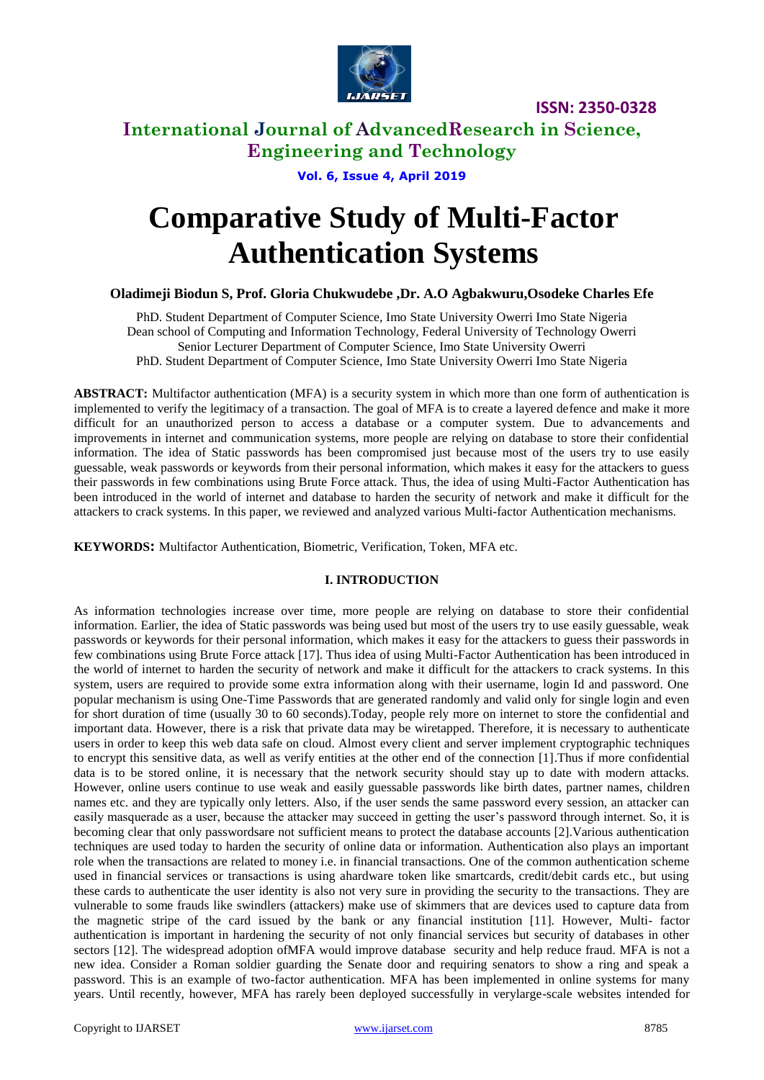

# **International Journal of AdvancedResearch in Science, Engineering and Technology**

**Vol. 6, Issue 4, April 2019**

# **Comparative Study of Multi-Factor Authentication Systems**

## **Oladimeji Biodun S, Prof. Gloria Chukwudebe ,Dr. A.O Agbakwuru,Osodeke Charles Efe**

PhD. Student Department of Computer Science, Imo State University Owerri Imo State Nigeria Dean school of Computing and Information Technology, Federal University of Technology Owerri Senior Lecturer Department of Computer Science, Imo State University Owerri PhD. Student Department of Computer Science, Imo State University Owerri Imo State Nigeria

**ABSTRACT:** Multifactor authentication (MFA) is a security system in which more than one form of authentication is implemented to verify the legitimacy of a transaction. The goal of MFA is to create a layered defence and make it more difficult for an unauthorized person to access a database or a computer system. Due to advancements and improvements in internet and communication systems, more people are relying on database to store their confidential information. The idea of Static passwords has been compromised just because most of the users try to use easily guessable, weak passwords or keywords from their personal information, which makes it easy for the attackers to guess their passwords in few combinations using Brute Force attack. Thus, the idea of using Multi-Factor Authentication has been introduced in the world of internet and database to harden the security of network and make it difficult for the attackers to crack systems. In this paper, we reviewed and analyzed various Multi-factor Authentication mechanisms.

**KEYWORDS:** Multifactor Authentication, Biometric, Verification, Token, MFA etc.

## **I. INTRODUCTION**

As information technologies increase over time, more people are relying on database to store their confidential information. Earlier, the idea of Static passwords was being used but most of the users try to use easily guessable, weak passwords or keywords for their personal information, which makes it easy for the attackers to guess their passwords in few combinations using Brute Force attack [17]. Thus idea of using Multi-Factor Authentication has been introduced in the world of internet to harden the security of network and make it difficult for the attackers to crack systems. In this system, users are required to provide some extra information along with their username, login Id and password. One popular mechanism is using One-Time Passwords that are generated randomly and valid only for single login and even for short duration of time (usually 30 to 60 seconds).Today, people rely more on internet to store the confidential and important data. However, there is a risk that private data may be wiretapped. Therefore, it is necessary to authenticate users in order to keep this web data safe on cloud. Almost every client and server implement cryptographic techniques to encrypt this sensitive data, as well as verify entities at the other end of the connection [1].Thus if more confidential data is to be stored online, it is necessary that the network security should stay up to date with modern attacks. However, online users continue to use weak and easily guessable passwords like birth dates, partner names, children names etc. and they are typically only letters. Also, if the user sends the same password every session, an attacker can easily masquerade as a user, because the attacker may succeed in getting the user's password through internet. So, it is becoming clear that only passwordsare not sufficient means to protect the database accounts [2].Various authentication techniques are used today to harden the security of online data or information. Authentication also plays an important role when the transactions are related to money i.e. in financial transactions. One of the common authentication scheme used in financial services or transactions is using ahardware token like smartcards, credit/debit cards etc., but using these cards to authenticate the user identity is also not very sure in providing the security to the transactions. They are vulnerable to some frauds like swindlers (attackers) make use of skimmers that are devices used to capture data from the magnetic stripe of the card issued by the bank or any financial institution [11]. However, Multi- factor authentication is important in hardening the security of not only financial services but security of databases in other sectors [12]. The widespread adoption ofMFA would improve database security and help reduce fraud. MFA is not a new idea. Consider a Roman soldier guarding the Senate door and requiring senators to show a ring and speak a password. This is an example of two-factor authentication. MFA has been implemented in online systems for many years. Until recently, however, MFA has rarely been deployed successfully in verylarge-scale websites intended for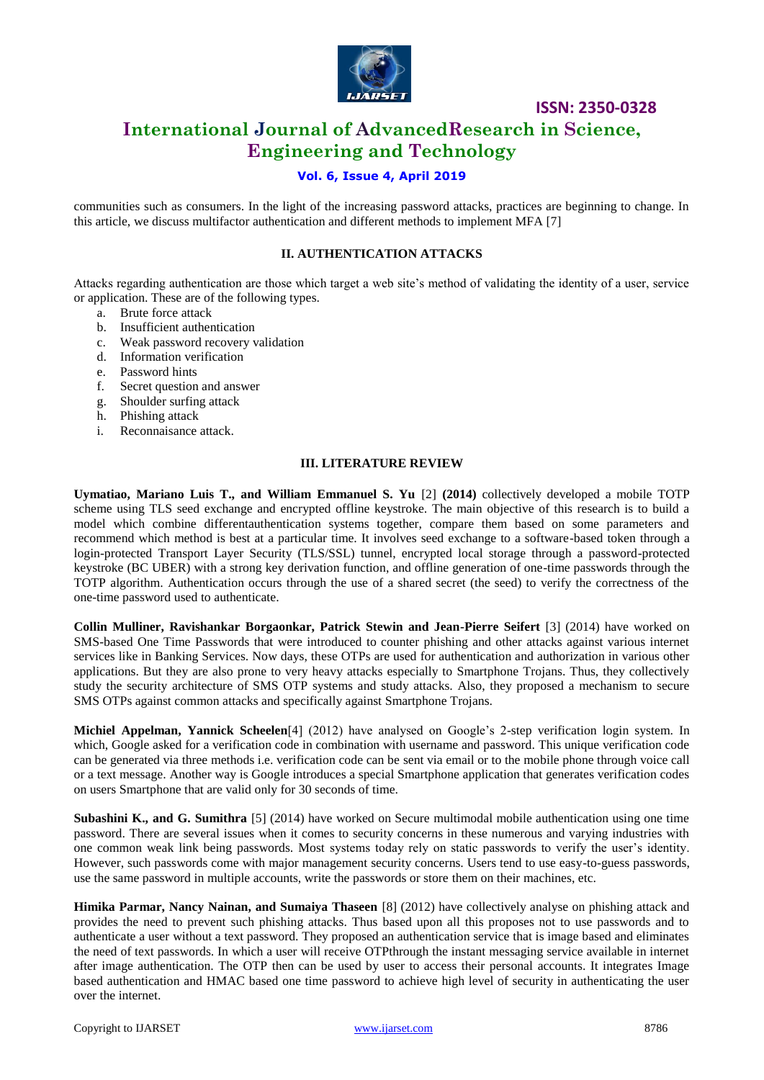

# **International Journal of AdvancedResearch in Science, Engineering and Technology**

# **Vol. 6, Issue 4, April 2019**

communities such as consumers. In the light of the increasing password attacks, practices are beginning to change. In this article, we discuss multifactor authentication and different methods to implement MFA [7]

#### **II. AUTHENTICATION ATTACKS**

Attacks regarding authentication are those which target a web site's method of validating the identity of a user, service or application. These are of the following types.

- a. Brute force attack
- b. Insufficient authentication
- c. Weak password recovery validation
- d. Information verification
- e. Password hints
- f. Secret question and answer
- g. Shoulder surfing attack
- h. Phishing attack
- i. Reconnaisance attack.

#### **III. LITERATURE REVIEW**

**Uymatiao, Mariano Luis T., and William Emmanuel S. Yu** [2] **(2014)** collectively developed a mobile TOTP scheme using TLS seed exchange and encrypted offline keystroke. The main objective of this research is to build a model which combine differentauthentication systems together, compare them based on some parameters and recommend which method is best at a particular time. It involves seed exchange to a software-based token through a login-protected Transport Layer Security (TLS/SSL) tunnel, encrypted local storage through a password-protected keystroke (BC UBER) with a strong key derivation function, and offline generation of one-time passwords through the TOTP algorithm. Authentication occurs through the use of a shared secret (the seed) to verify the correctness of the one-time password used to authenticate.

**Collin Mulliner, Ravishankar Borgaonkar, Patrick Stewin and Jean-Pierre Seifert** [3] (2014) have worked on SMS-based One Time Passwords that were introduced to counter phishing and other attacks against various internet services like in Banking Services. Now days, these OTPs are used for authentication and authorization in various other applications. But they are also prone to very heavy attacks especially to Smartphone Trojans. Thus, they collectively study the security architecture of SMS OTP systems and study attacks. Also, they proposed a mechanism to secure SMS OTPs against common attacks and specifically against Smartphone Trojans.

**Michiel Appelman, Yannick Scheelen**[4] (2012) have analysed on Google's 2-step verification login system. In which, Google asked for a verification code in combination with username and password. This unique verification code can be generated via three methods i.e. verification code can be sent via email or to the mobile phone through voice call or a text message. Another way is Google introduces a special Smartphone application that generates verification codes on users Smartphone that are valid only for 30 seconds of time.

**Subashini K., and G. Sumithra** [5] (2014) have worked on Secure multimodal mobile authentication using one time password. There are several issues when it comes to security concerns in these numerous and varying industries with one common weak link being passwords. Most systems today rely on static passwords to verify the user's identity. However, such passwords come with major management security concerns. Users tend to use easy-to-guess passwords, use the same password in multiple accounts, write the passwords or store them on their machines, etc.

**Himika Parmar, Nancy Nainan, and Sumaiya Thaseen** [8] (2012) have collectively analyse on phishing attack and provides the need to prevent such phishing attacks. Thus based upon all this proposes not to use passwords and to authenticate a user without a text password. They proposed an authentication service that is image based and eliminates the need of text passwords. In which a user will receive OTPthrough the instant messaging service available in internet after image authentication. The OTP then can be used by user to access their personal accounts. It integrates Image based authentication and HMAC based one time password to achieve high level of security in authenticating the user over the internet.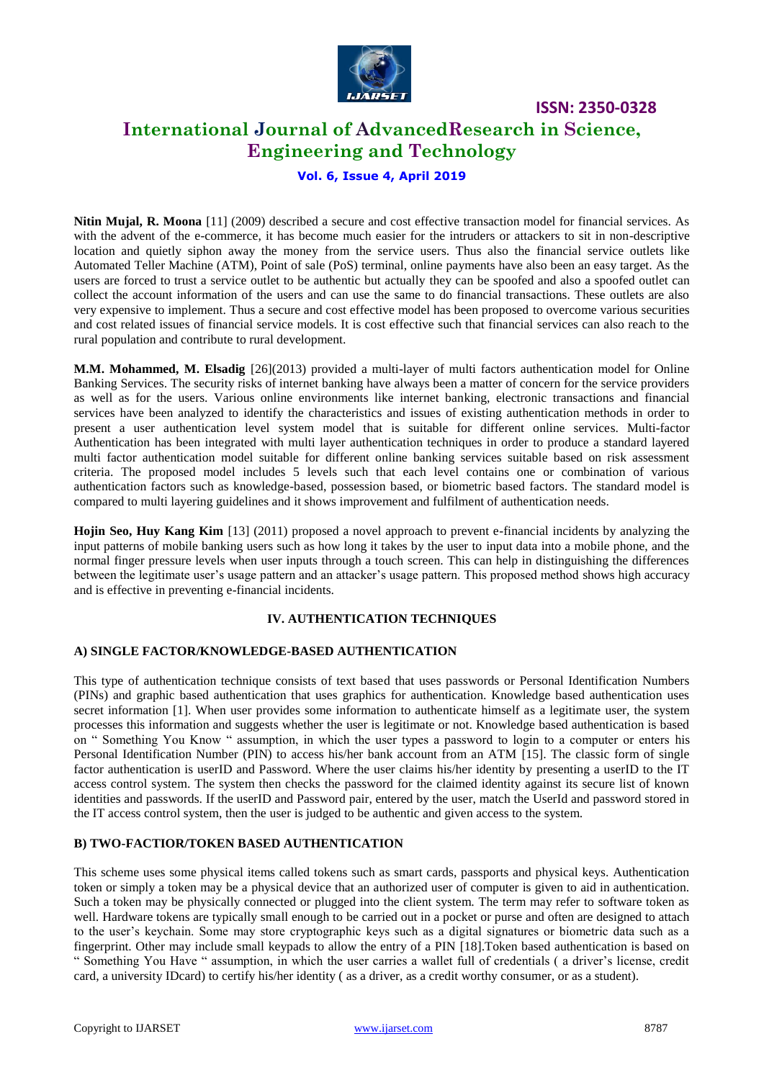

# **International Journal of AdvancedResearch in Science, Engineering and Technology**

**Vol. 6, Issue 4, April 2019**

**Nitin Mujal, R. Moona** [11] (2009) described a secure and cost effective transaction model for financial services. As with the advent of the e-commerce, it has become much easier for the intruders or attackers to sit in non-descriptive location and quietly siphon away the money from the service users. Thus also the financial service outlets like Automated Teller Machine (ATM), Point of sale (PoS) terminal, online payments have also been an easy target. As the users are forced to trust a service outlet to be authentic but actually they can be spoofed and also a spoofed outlet can collect the account information of the users and can use the same to do financial transactions. These outlets are also very expensive to implement. Thus a secure and cost effective model has been proposed to overcome various securities and cost related issues of financial service models. It is cost effective such that financial services can also reach to the rural population and contribute to rural development.

**M.M. Mohammed, M. Elsadig** [26](2013) provided a multi-layer of multi factors authentication model for Online Banking Services. The security risks of internet banking have always been a matter of concern for the service providers as well as for the users. Various online environments like internet banking, electronic transactions and financial services have been analyzed to identify the characteristics and issues of existing authentication methods in order to present a user authentication level system model that is suitable for different online services. Multi-factor Authentication has been integrated with multi layer authentication techniques in order to produce a standard layered multi factor authentication model suitable for different online banking services suitable based on risk assessment criteria. The proposed model includes 5 levels such that each level contains one or combination of various authentication factors such as knowledge-based, possession based, or biometric based factors. The standard model is compared to multi layering guidelines and it shows improvement and fulfilment of authentication needs.

**Hojin Seo, Huy Kang Kim** [13] (2011) proposed a novel approach to prevent e-financial incidents by analyzing the input patterns of mobile banking users such as how long it takes by the user to input data into a mobile phone, and the normal finger pressure levels when user inputs through a touch screen. This can help in distinguishing the differences between the legitimate user's usage pattern and an attacker's usage pattern. This proposed method shows high accuracy and is effective in preventing e-financial incidents.

#### **IV. AUTHENTICATION TECHNIQUES**

#### **A) SINGLE FACTOR/KNOWLEDGE-BASED AUTHENTICATION**

This type of authentication technique consists of text based that uses passwords or Personal Identification Numbers (PINs) and graphic based authentication that uses graphics for authentication. Knowledge based authentication uses secret information [1]. When user provides some information to authenticate himself as a legitimate user, the system processes this information and suggests whether the user is legitimate or not. Knowledge based authentication is based on " Something You Know " assumption, in which the user types a password to login to a computer or enters his Personal Identification Number (PIN) to access his/her bank account from an ATM [15]. The classic form of single factor authentication is userID and Password. Where the user claims his/her identity by presenting a userID to the IT access control system. The system then checks the password for the claimed identity against its secure list of known identities and passwords. If the userID and Password pair, entered by the user, match the UserId and password stored in the IT access control system, then the user is judged to be authentic and given access to the system.

## **B) TWO-FACTIOR/TOKEN BASED AUTHENTICATION**

This scheme uses some physical items called tokens such as smart cards, passports and physical keys. Authentication token or simply a token may be a physical device that an authorized user of computer is given to aid in authentication. Such a token may be physically connected or plugged into the client system. The term may refer to software token as well. Hardware tokens are typically small enough to be carried out in a pocket or purse and often are designed to attach to the user's keychain. Some may store cryptographic keys such as a digital signatures or biometric data such as a fingerprint. Other may include small keypads to allow the entry of a PIN [18].Token based authentication is based on " Something You Have " assumption, in which the user carries a wallet full of credentials ( a driver's license, credit card, a university IDcard) to certify his/her identity ( as a driver, as a credit worthy consumer, or as a student).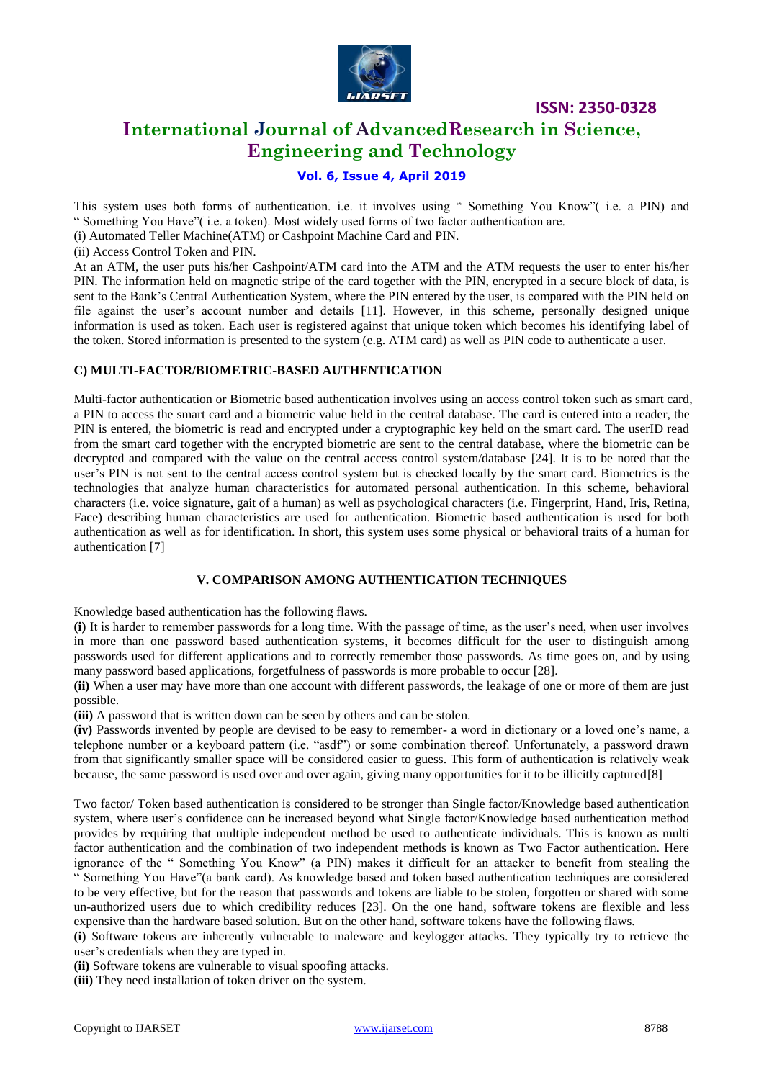

# **International Journal of AdvancedResearch in Science, Engineering and Technology**

# **Vol. 6, Issue 4, April 2019**

This system uses both forms of authentication. i.e. it involves using " Something You Know"( i.e. a PIN) and " Something You Have"( i.e. a token). Most widely used forms of two factor authentication are.

(i) Automated Teller Machine(ATM) or Cashpoint Machine Card and PIN.

(ii) Access Control Token and PIN.

At an ATM, the user puts his/her Cashpoint/ATM card into the ATM and the ATM requests the user to enter his/her PIN. The information held on magnetic stripe of the card together with the PIN, encrypted in a secure block of data, is sent to the Bank's Central Authentication System, where the PIN entered by the user, is compared with the PIN held on file against the user's account number and details [11]. However, in this scheme, personally designed unique information is used as token. Each user is registered against that unique token which becomes his identifying label of the token. Stored information is presented to the system (e.g. ATM card) as well as PIN code to authenticate a user.

#### **C) MULTI-FACTOR/BIOMETRIC-BASED AUTHENTICATION**

Multi-factor authentication or Biometric based authentication involves using an access control token such as smart card, a PIN to access the smart card and a biometric value held in the central database. The card is entered into a reader, the PIN is entered, the biometric is read and encrypted under a cryptographic key held on the smart card. The userID read from the smart card together with the encrypted biometric are sent to the central database, where the biometric can be decrypted and compared with the value on the central access control system/database [24]. It is to be noted that the user's PIN is not sent to the central access control system but is checked locally by the smart card. Biometrics is the technologies that analyze human characteristics for automated personal authentication. In this scheme, behavioral characters (i.e. voice signature, gait of a human) as well as psychological characters (i.e. Fingerprint, Hand, Iris, Retina, Face) describing human characteristics are used for authentication. Biometric based authentication is used for both authentication as well as for identification. In short, this system uses some physical or behavioral traits of a human for authentication [7]

#### **V. COMPARISON AMONG AUTHENTICATION TECHNIQUES**

Knowledge based authentication has the following flaws.

**(i)** It is harder to remember passwords for a long time. With the passage of time, as the user's need, when user involves in more than one password based authentication systems, it becomes difficult for the user to distinguish among passwords used for different applications and to correctly remember those passwords. As time goes on, and by using many password based applications, forgetfulness of passwords is more probable to occur [28].

**(ii)** When a user may have more than one account with different passwords, the leakage of one or more of them are just possible.

**(iii)** A password that is written down can be seen by others and can be stolen.

**(iv)** Passwords invented by people are devised to be easy to remember- a word in dictionary or a loved one's name, a telephone number or a keyboard pattern (i.e. "asdf") or some combination thereof. Unfortunately, a password drawn from that significantly smaller space will be considered easier to guess. This form of authentication is relatively weak because, the same password is used over and over again, giving many opportunities for it to be illicitly captured[8]

Two factor/ Token based authentication is considered to be stronger than Single factor/Knowledge based authentication system, where user's confidence can be increased beyond what Single factor/Knowledge based authentication method provides by requiring that multiple independent method be used to authenticate individuals. This is known as multi factor authentication and the combination of two independent methods is known as Two Factor authentication. Here ignorance of the " Something You Know" (a PIN) makes it difficult for an attacker to benefit from stealing the " Something You Have"(a bank card). As knowledge based and token based authentication techniques are considered to be very effective, but for the reason that passwords and tokens are liable to be stolen, forgotten or shared with some un-authorized users due to which credibility reduces [23]. On the one hand, software tokens are flexible and less expensive than the hardware based solution. But on the other hand, software tokens have the following flaws.

**(i)** Software tokens are inherently vulnerable to maleware and keylogger attacks. They typically try to retrieve the user's credentials when they are typed in.

**(ii)** Software tokens are vulnerable to visual spoofing attacks.

**(iii)** They need installation of token driver on the system.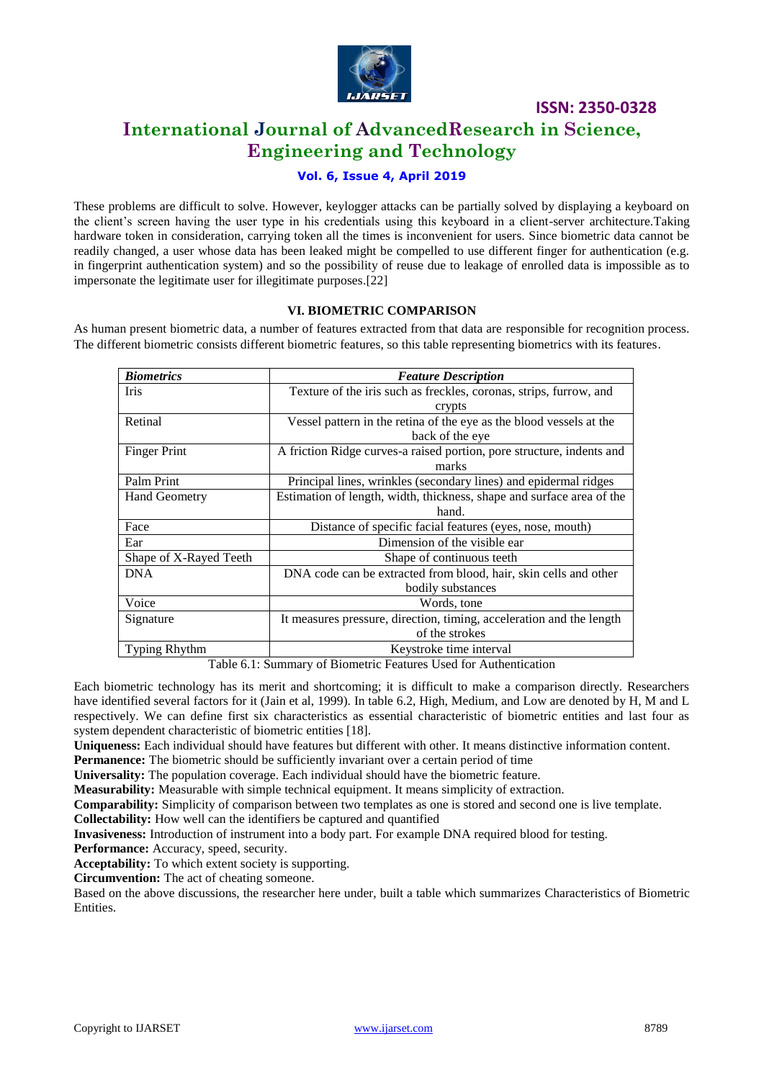

# **International Journal of AdvancedResearch in Science, Engineering and Technology**

## **Vol. 6, Issue 4, April 2019**

These problems are difficult to solve. However, keylogger attacks can be partially solved by displaying a keyboard on the client's screen having the user type in his credentials using this keyboard in a client-server architecture.Taking hardware token in consideration, carrying token all the times is inconvenient for users. Since biometric data cannot be readily changed, a user whose data has been leaked might be compelled to use different finger for authentication (e.g. in fingerprint authentication system) and so the possibility of reuse due to leakage of enrolled data is impossible as to impersonate the legitimate user for illegitimate purposes.[22]

#### **VI. BIOMETRIC COMPARISON**

As human present biometric data, a number of features extracted from that data are responsible for recognition process. The different biometric consists different biometric features, so this table representing biometrics with its features.

| <b>Biometrics</b>      | <b>Feature Description</b>                                            |  |  |  |  |  |
|------------------------|-----------------------------------------------------------------------|--|--|--|--|--|
| Iris                   | Texture of the iris such as freckles, coronas, strips, furrow, and    |  |  |  |  |  |
|                        | crypts                                                                |  |  |  |  |  |
| Retinal                | Vessel pattern in the retina of the eye as the blood vessels at the   |  |  |  |  |  |
|                        | back of the eye                                                       |  |  |  |  |  |
| <b>Finger Print</b>    | A friction Ridge curves-a raised portion, pore structure, indents and |  |  |  |  |  |
|                        | marks                                                                 |  |  |  |  |  |
| Palm Print             | Principal lines, wrinkles (secondary lines) and epidermal ridges      |  |  |  |  |  |
| <b>Hand Geometry</b>   | Estimation of length, width, thickness, shape and surface area of the |  |  |  |  |  |
|                        | hand.                                                                 |  |  |  |  |  |
| Face                   | Distance of specific facial features (eyes, nose, mouth)              |  |  |  |  |  |
| Ear                    | Dimension of the visible ear                                          |  |  |  |  |  |
| Shape of X-Rayed Teeth | Shape of continuous teeth                                             |  |  |  |  |  |
| <b>DNA</b>             | DNA code can be extracted from blood, hair, skin cells and other      |  |  |  |  |  |
|                        | bodily substances                                                     |  |  |  |  |  |
| Voice                  | Words, tone                                                           |  |  |  |  |  |
| Signature              | It measures pressure, direction, timing, acceleration and the length  |  |  |  |  |  |
|                        | of the strokes                                                        |  |  |  |  |  |
| <b>Typing Rhythm</b>   | Keystroke time interval                                               |  |  |  |  |  |

Table 6.1: Summary of Biometric Features Used for Authentication

Each biometric technology has its merit and shortcoming; it is difficult to make a comparison directly. Researchers have identified several factors for it (Jain et al, 1999). In table 6.2, High, Medium, and Low are denoted by H, M and L respectively. We can define first six characteristics as essential characteristic of biometric entities and last four as system dependent characteristic of biometric entities [18].

**Uniqueness:** Each individual should have features but different with other. It means distinctive information content. **Permanence:** The biometric should be sufficiently invariant over a certain period of time

**Universality:** The population coverage. Each individual should have the biometric feature.

**Measurability:** Measurable with simple technical equipment. It means simplicity of extraction.

**Comparability:** Simplicity of comparison between two templates as one is stored and second one is live template.

**Collectability:** How well can the identifiers be captured and quantified

**Invasiveness:** Introduction of instrument into a body part. For example DNA required blood for testing.

**Performance:** Accuracy, speed, security.

**Acceptability:** To which extent society is supporting.

**Circumvention:** The act of cheating someone.

Based on the above discussions, the researcher here under, built a table which summarizes Characteristics of Biometric **Entities**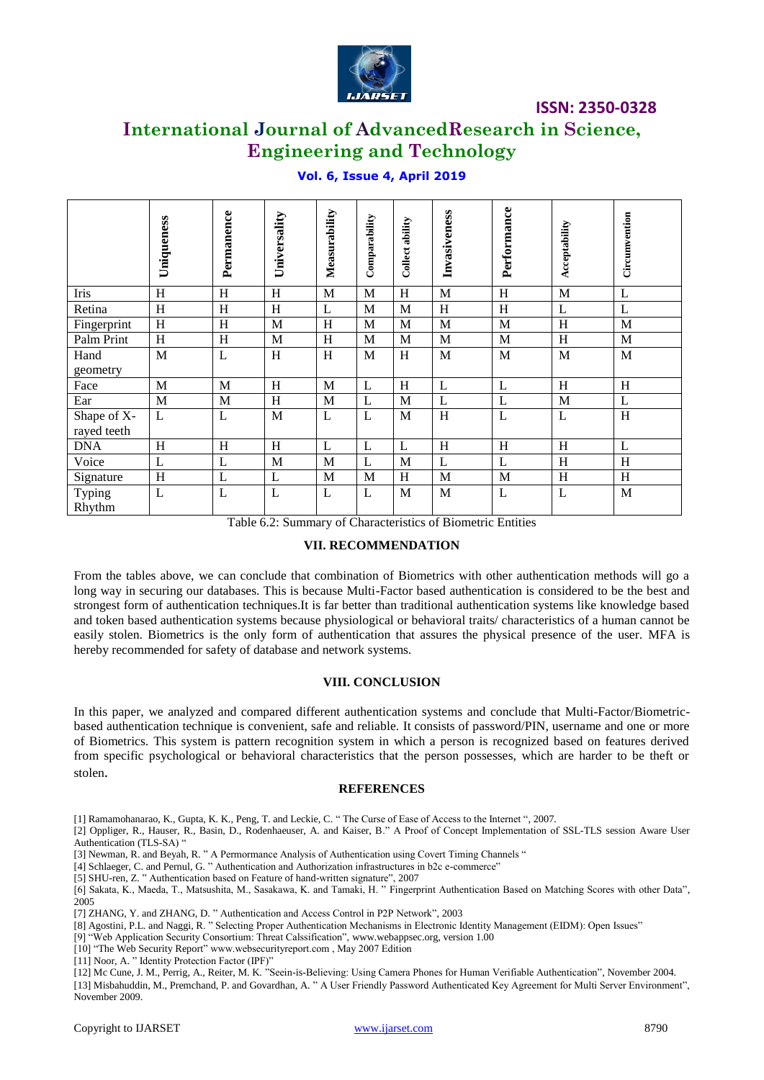

# **International Journal of AdvancedResearch in Science, Engineering and Technology**

|                                                                                                                                                                                                                                                                                                                                                                                                                                                                                                                                                                                                                                                                                                                                                                                                                                                                                                                                                                                                                                                                                                                                                                                                                                                                                                                                                                                                                                | Uniqueness   | Permanence                | Universality | Measurability              | Comparability | Collect ability | Invasiveness                                                | Performance    | Acceptability | Circumvention  |
|--------------------------------------------------------------------------------------------------------------------------------------------------------------------------------------------------------------------------------------------------------------------------------------------------------------------------------------------------------------------------------------------------------------------------------------------------------------------------------------------------------------------------------------------------------------------------------------------------------------------------------------------------------------------------------------------------------------------------------------------------------------------------------------------------------------------------------------------------------------------------------------------------------------------------------------------------------------------------------------------------------------------------------------------------------------------------------------------------------------------------------------------------------------------------------------------------------------------------------------------------------------------------------------------------------------------------------------------------------------------------------------------------------------------------------|--------------|---------------------------|--------------|----------------------------|---------------|-----------------|-------------------------------------------------------------|----------------|---------------|----------------|
| Iris                                                                                                                                                                                                                                                                                                                                                                                                                                                                                                                                                                                                                                                                                                                                                                                                                                                                                                                                                                                                                                                                                                                                                                                                                                                                                                                                                                                                                           | H            | $\boldsymbol{\mathrm{H}}$ | H            | $\mathbf{M}$               | M             | H               | M                                                           | $\, {\rm H}$   | $\mathbf{M}$  | $\mathbf{L}$   |
| Retina                                                                                                                                                                                                                                                                                                                                                                                                                                                                                                                                                                                                                                                                                                                                                                                                                                                                                                                                                                                                                                                                                                                                                                                                                                                                                                                                                                                                                         | H            | H                         | H            | $\mathbf{L}$               | M             | M               | $\, {\rm H}$                                                | $\, {\rm H}$   | L             | L              |
| Fingerprint                                                                                                                                                                                                                                                                                                                                                                                                                                                                                                                                                                                                                                                                                                                                                                                                                                                                                                                                                                                                                                                                                                                                                                                                                                                                                                                                                                                                                    | H            | H                         | $\mathbf M$  | H                          | M             | M               | M                                                           | M              | H             | M              |
| Palm Print                                                                                                                                                                                                                                                                                                                                                                                                                                                                                                                                                                                                                                                                                                                                                                                                                                                                                                                                                                                                                                                                                                                                                                                                                                                                                                                                                                                                                     | H            | H                         | $\mathbf M$  | H                          | M             | M               | M                                                           | M              | H             | M              |
| Hand<br>geometry                                                                                                                                                                                                                                                                                                                                                                                                                                                                                                                                                                                                                                                                                                                                                                                                                                                                                                                                                                                                                                                                                                                                                                                                                                                                                                                                                                                                               | M            | L                         | H            | H                          | M             | H               | M                                                           | M              | M             | M              |
| Face                                                                                                                                                                                                                                                                                                                                                                                                                                                                                                                                                                                                                                                                                                                                                                                                                                                                                                                                                                                                                                                                                                                                                                                                                                                                                                                                                                                                                           | M            | M                         | H            | M                          | L             | H               | $\mathbf{L}$                                                | L              | H             | H              |
| Ear                                                                                                                                                                                                                                                                                                                                                                                                                                                                                                                                                                                                                                                                                                                                                                                                                                                                                                                                                                                                                                                                                                                                                                                                                                                                                                                                                                                                                            | $\mathbf M$  | $\mathbf{M}$              | H            | M                          | $\mathbf{L}$  | M               | $\mathbf{L}$                                                | $\overline{L}$ | M             | $\overline{L}$ |
| Shape of X-<br>rayed teeth                                                                                                                                                                                                                                                                                                                                                                                                                                                                                                                                                                                                                                                                                                                                                                                                                                                                                                                                                                                                                                                                                                                                                                                                                                                                                                                                                                                                     | L            | L                         | M            | L                          | L             | M               | $\, {\rm H}$                                                | $\mathbf{L}$   | L             | H              |
| <b>DNA</b>                                                                                                                                                                                                                                                                                                                                                                                                                                                                                                                                                                                                                                                                                                                                                                                                                                                                                                                                                                                                                                                                                                                                                                                                                                                                                                                                                                                                                     | H            | H                         | H            | L                          | L             | L               | H                                                           | H              | H             | L              |
| Voice                                                                                                                                                                                                                                                                                                                                                                                                                                                                                                                                                                                                                                                                                                                                                                                                                                                                                                                                                                                                                                                                                                                                                                                                                                                                                                                                                                                                                          | $\mathbf{L}$ | L                         | $\mathbf M$  | M                          | L             | M               | $\mathbf{L}$                                                | L              | H             | H              |
| Signature                                                                                                                                                                                                                                                                                                                                                                                                                                                                                                                                                                                                                                                                                                                                                                                                                                                                                                                                                                                                                                                                                                                                                                                                                                                                                                                                                                                                                      | H            | L                         | L            | M                          | M             | H               | M                                                           | M              | H             | H              |
| Typing<br>Rhythm                                                                                                                                                                                                                                                                                                                                                                                                                                                                                                                                                                                                                                                                                                                                                                                                                                                                                                                                                                                                                                                                                                                                                                                                                                                                                                                                                                                                               | L            | L                         | L            | L                          | L             | M               | M                                                           | L              | L             | M              |
|                                                                                                                                                                                                                                                                                                                                                                                                                                                                                                                                                                                                                                                                                                                                                                                                                                                                                                                                                                                                                                                                                                                                                                                                                                                                                                                                                                                                                                |              |                           |              |                            |               |                 | Table 6.2: Summary of Characteristics of Biometric Entities |                |               |                |
|                                                                                                                                                                                                                                                                                                                                                                                                                                                                                                                                                                                                                                                                                                                                                                                                                                                                                                                                                                                                                                                                                                                                                                                                                                                                                                                                                                                                                                |              |                           |              | <b>VII. RECOMMENDATION</b> |               |                 |                                                             |                |               |                |
| From the tables above, we can conclude that combination of Biometrics with other authentication methods will go<br>long way in securing our databases. This is because Multi-Factor based authentication is considered to be the best an<br>strongest form of authentication techniques. It is far better than traditional authentication systems like knowledge base<br>and token based authentication systems because physiological or behavioral traits/ characteristics of a human cannot b<br>easily stolen. Biometrics is the only form of authentication that assures the physical presence of the user. MFA<br>hereby recommended for safety of database and network systems.<br><b>VIII. CONCLUSION</b><br>In this paper, we analyzed and compared different authentication systems and conclude that Multi-Factor/Biometria<br>based authentication technique is convenient, safe and reliable. It consists of password/PIN, username and one or mor<br>of Biometrics. This system is pattern recognition system in which a person is recognized based on features derive<br>from specific psychological or behavioral characteristics that the person possesses, which are harder to be theft of<br>stolen.<br><b>REFERENCES</b>                                                                                                                                                                                    |              |                           |              |                            |               |                 |                                                             |                |               |                |
| [1] Ramamohanarao, K., Gupta, K. K., Peng, T. and Leckie, C. "The Curse of Ease of Access to the Internet ", 2007.                                                                                                                                                                                                                                                                                                                                                                                                                                                                                                                                                                                                                                                                                                                                                                                                                                                                                                                                                                                                                                                                                                                                                                                                                                                                                                             |              |                           |              |                            |               |                 |                                                             |                |               |                |
| [2] Oppliger, R., Hauser, R., Basin, D., Rodenhaeuser, A. and Kaiser, B." A Proof of Concept Implementation of SSL-TLS session Aware Us<br>Authentication (TLS-SA) "<br>[3] Newman, R. and Beyah, R. " A Permormance Analysis of Authentication using Covert Timing Channels "<br>[4] Schlaeger, C. and Pernul, G. " Authentication and Authorization infrastructures in b2c e-commerce"<br>[5] SHU-ren, Z. " Authentication based on Feature of hand-written signature", 2007<br>[6] Sakata, K., Maeda, T., Matsushita, M., Sasakawa, K. and Tamaki, H. " Fingerprint Authentication Based on Matching Scores with other Data<br>2005<br>[7] ZHANG, Y. and ZHANG, D. " Authentication and Access Control in P2P Network", 2003<br>[8] Agostini, P.L. and Naggi, R. " Selecting Proper Authentication Mechanisms in Electronic Identity Management (EIDM): Open Issues"<br>[9] "Web Application Security Consortium: Threat Calssification", www.webappsec.org, version 1.00<br>[10] "The Web Security Report" www.websecurityreport.com, May 2007 Edition<br>[11] Noor, A. " Identity Protection Factor (IPF)"<br>[12] Mc Cune, J. M., Perrig, A., Reiter, M. K. "Seein-is-Believing: Using Camera Phones for Human Verifiable Authentication", November 2004.<br>[13] Misbahuddin, M., Premchand, P. and Govardhan, A. " A User Friendly Password Authenticated Key Agreement for Multi Server Environment<br>November 2009. |              |                           |              |                            |               |                 |                                                             |                |               |                |
| Copyright to IJARSET                                                                                                                                                                                                                                                                                                                                                                                                                                                                                                                                                                                                                                                                                                                                                                                                                                                                                                                                                                                                                                                                                                                                                                                                                                                                                                                                                                                                           |              |                           |              |                            |               | www.ijarset.com |                                                             |                |               | 8790           |

# **Vol. 6, Issue 4, April 2019**

## **VII. RECOMMENDATION**

#### **VIII. CONCLUSION**

#### **REFERENCES**

- [3] Newman, R. and Beyah, R. " A Permormance Analysis of Authentication using Covert Timing Channels "
- [4] Schlaeger, C. and Pernul, G. " Authentication and Authorization infrastructures in b2c e-commerce"
- [5] SHU-ren, Z. " Authentication based on Feature of hand-written signature", 2007

- [7] ZHANG, Y. and ZHANG, D. " Authentication and Access Control in P2P Network", 2003
- [8] Agostini, P.L. and Naggi, R. " Selecting Proper Authentication Mechanisms in Electronic Identity Management (EIDM): Open Issues"
- [9] "Web Application Security Consortium: Threat Calssification", www.webappsec.org, version 1.00
- [10] "The Web Security Report" www.websecurityreport.com, May 2007 Edition
- [11] Noor, A. " Identity Protection Factor (IPF)"
- [12] Mc Cune, J. M., Perrig, A., Reiter, M. K. "Seein-is-Believing: Using Camera Phones for Human Verifiable Authentication", November 2004. [13] Misbahuddin, M., Premchand, P. and Govardhan, A. " A User Friendly Password Authenticated Key Agreement for Multi Server Environment", November 2009.